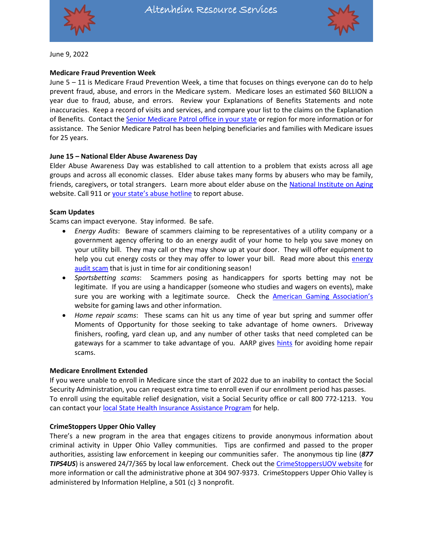



June 9, 2022

## **Medicare Fraud Prevention Week**

June 5 – 11 is Medicare Fraud Prevention Week, a time that focuses on things everyone can do to help prevent fraud, abuse, and errors in the Medicare system. Medicare loses an estimated \$60 BILLION a year due to fraud, abuse, and errors. Review your Explanations of Benefits Statements and note inaccuracies. Keep a record of visits and services, and compare your list to the claims on the Explanation of Benefits. Contact th[e Senior Medicare Patrol](https://www.smpresource.org/Default.aspx) office in your state or region for more information or for assistance. The Senior Medicare Patrol has been helping beneficiaries and families with Medicare issues for 25 years.

#### **June 15 – National Elder Abuse Awareness Day**

Elder Abuse Awareness Day was established to call attention to a problem that exists across all age groups and across all economic classes. Elder abuse takes many forms by abusers who may be family, friends, caregivers, or total strangers. Learn more about elder abuse on the [National Institute on Aging](https://www.nia.nih.gov/health/elder-abuse) website. Call 911 or your [state's abuse hotline](https://ncea.acl.gov/Resources/State.aspx) to report abuse.

#### **Scam Updates**

Scams can impact everyone. Stay informed. Be safe.

- *Energy Audits*: Beware of scammers claiming to be representatives of a utility company or a government agency offering to do an energy audit of your home to help you save money on your utility bill. They may call or they may show up at your door. They will offer equipment to help you cut [energy](https://www.bbb.org/article/scams/26879-scam-alert-home-energy-auditor-promising-to-save-you-money-be-careful) costs or they may offer to lower your bill. Read more about this energy [audit scam](https://www.bbb.org/article/scams/26879-scam-alert-home-energy-auditor-promising-to-save-you-money-be-careful) that is just in time for air conditioning season!
- *Sportsbetting scams*: Scammers posing as handicappers for sports betting may not be legitimate. If you are using a handicapper (someone who studies and wagers on events), make sure you are working with a legitimate source. Check the [American Gaming Association's](https://www.americangaming.org/research/state-gaming-map/) website for gaming laws and other information.
- *Home repair scams*: These scams can hit us any time of year but spring and summer offer Moments of Opportunity for those seeking to take advantage of home owners. Driveway finishers, roofing, yard clean up, and any number of other tasks that need completed can be gateways for a scammer to take advantage of you. AARP gives [hints](https://www.aarp.org/money/scams-fraud/info-2019/home-improvement.html) for avoiding home repair scams.

#### **Medicare Enrollment Extended**

If you were unable to enroll in Medicare since the start of 2022 due to an inability to contact the Social Security Administration, you can request extra time to enroll even if our enrollment period has passes. To enroll using the equitable relief designation, visit a Social Security office or call 800 772-1213. You can contact your **local State Health Insurance Assistance Program** for help.

## **CrimeStoppers Upper Ohio Valley**

There's a new program in the area that engages citizens to provide anonymous information about criminal activity in Upper Ohio Valley communities. Tips are confirmed and passed to the proper authorities, assisting law enforcement in keeping our communities safer. The anonymous tip line (*877 TIPS4US*) is answered 24/7/365 by local law enforcement. Check out the [CrimeStoppersUOV website](https://crimestoppersuov.com/) for more information or call the administrative phone at 304 907-9373. CrimeStoppers Upper Ohio Valley is administered by Information Helpline, a 501 (c) 3 nonprofit.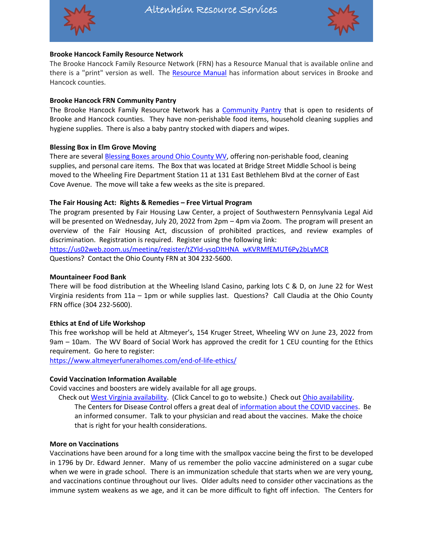



## **Brooke Hancock Family Resource Network**

The Brooke Hancock Family Resource Network (FRN) has a Resource Manual that is available online and there is a "print" version as well. The [Resource Manual](https://www.brookehancockfrn.org/community-resource-manual/) has information about services in Brooke and Hancock counties.

## **Brooke Hancock FRN Community Pantry**

The Brooke Hancock Family Resource Network has a [Community Pantry](https://www.brookehancockfrn.org/) that is open to residents of Brooke and Hancock counties. They have non-perishable food items, household cleaning supplies and hygiene supplies. There is also a baby pantry stocked with diapers and wipes.

# **Blessing Box in Elm Grove Moving**

There are several [Blessing Boxes around Ohio County WV,](https://img1.wsimg.com/blobby/go/93a9f42e-19b4-497c-98d1-b5e74e72ad90/Ohio%20County%20Blessings%20Boxes%20(4).pdf) offering non-perishable food, cleaning supplies, and personal care items. The Box that was located at Bridge Street Middle School is being moved to the Wheeling Fire Department Station 11 at 131 East Bethlehem Blvd at the corner of East Cove Avenue. The move will take a few weeks as the site is prepared.

## **The Fair Housing Act: Rights & Remedies – Free Virtual Program**

The program presented by Fair Housing Law Center, a project of Southwestern Pennsylvania Legal Aid will be presented on Wednesday, July 20, 2022 from 2pm – 4pm via Zoom. The program will present an overview of the Fair Housing Act, discussion of prohibited practices, and review examples of discrimination. Registration is required. Register using the following link: [https://us02web.zoom.us/meeting/register/tZYld-ysqDItHNA\\_wKVRMfEMUT6Py2bLyMCR](https://us02web.zoom.us/meeting/register/tZYld-ysqDItHNA_wKVRMfEMUT6Py2bLyMCR)

Questions? Contact the Ohio County FRN at 304 232-5600.

## **Mountaineer Food Bank**

There will be food distribution at the Wheeling Island Casino, parking lots C & D, on June 22 for West Virginia residents from 11a – 1pm or while supplies last. Questions? Call Claudia at the Ohio County FRN office (304 232-5600).

## **Ethics at End of Life Workshop**

This free workshop will be held at Altmeyer's, 154 Kruger Street, Wheeling WV on June 23, 2022 from 9am – 10am. The WV Board of Social Work has approved the credit for 1 CEU counting for the Ethics requirement. Go here to register:

<https://www.altmeyerfuneralhomes.com/end-of-life-ethics/>

## **Covid Vaccination Information Available**

Covid vaccines and boosters are widely available for all age groups.

 Check ou[t West Virginia availability.](https://dhhr.wv.gov/COVID-19/Pages/testing.aspx) (Click Cancel to go to website.) Check out [Ohio availability.](https://coronavirus.ohio.gov/wps/portal/gov/covid-19/covid-19-vaccination-program) The Centers for Disease Control offers a great deal of [information about the COVID vaccines.](https://www.cdc.gov/coronavirus/2019-ncov/vaccines/index.html) Be an informed consumer. Talk to your physician and read about the vaccines. Make the choice that is right for your health considerations.

## **More on Vaccinations**

Vaccinations have been around for a long time with the smallpox vaccine being the first to be developed in 1796 by Dr. Edward Jenner. Many of us remember the polio vaccine administered on a sugar cube when we were in grade school. There is an immunization schedule that starts when we are very young, and vaccinations continue throughout our lives. Older adults need to consider other vaccinations as the immune system weakens as we age, and it can be more difficult to fight off infection. The Centers for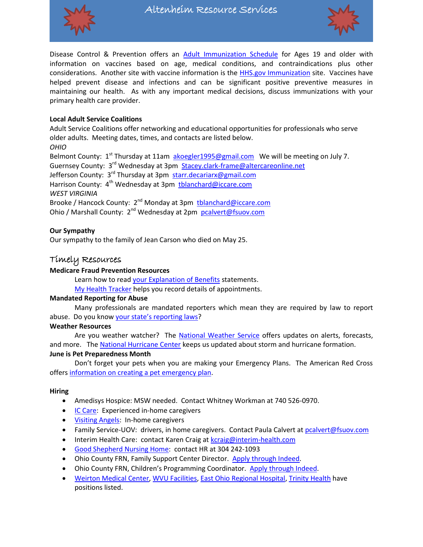

Disease Control & Prevention offers an [Adult Immunization Schedule](https://www.cdc.gov/vaccines/schedules/hcp/imz/adult.html) for Ages 19 and older with information on vaccines based on age, medical conditions, and contraindications plus other considerations. Another site with vaccine information is the [HHS.gov Immunization](https://www.hhs.gov/immunization/who-and-when/adults/seniors/index.html) site. Vaccines have helped prevent disease and infections and can be significant positive preventive measures in maintaining our health. As with any important medical decisions, discuss immunizations with your primary health care provider.

# **Local Adult Service Coalitions**

Adult Service Coalitions offer networking and educational opportunities for professionals who serve older adults. Meeting dates, times, and contacts are listed below. *OHIO*

Belmont County: 1<sup>st</sup> Thursday at 11am [akoegler1995@gmail.com](mailto:akoegler1995@gmail.com) We will be meeting on July 7. Guernsey County: 3<sup>rd</sup> Wednesday at 3pm [Stacey.clark-frame@altercareonline.net](mailto:Stacey.clark-frame@altercareonline.net) Jefferson County: 3<sup>rd</sup> Thursday at 3pm [starr.decariarx@gmail.com](mailto:starr.decariarx@gmail.com) Harrison County: 4<sup>th</sup> Wednesday at 3pm [tblanchard@iccare.com](mailto:tblanchard@iccare.com) *WEST VIRGINIA* Brooke / Hancock County: 2<sup>nd</sup> Monday at 3pm [tblanchard@iccare.com](mailto:tblanchard@iccare.com)

Ohio / Marshall County: 2<sup>nd</sup> Wednesday at 2pm [pcalvert@fsuov.com](mailto:pcalvert@fsuov.com)

## **Our Sympathy**

Our sympathy to the family of Jean Carson who died on May 25.

# Timely Resources

## **Medicare Fraud Prevention Resources**

Learn how to read [your Explanation of Benefits](https://www.smpresource.org/Content/You-Can-Help/Read-Your-Medicare-Statements.aspx) statements.

[My Health Tracker](https://www.smpresource.org/Content/You-Can-Help/My-Health-Care-Tracker.aspx) helps you record details of appointments.

#### **Mandated Reporting for Abuse**

Many professionals are mandated reporters which mean they are required by law to report abuse. Do you know [your state's reporting laws](https://www.americanbar.org/content/dam/aba/administrative/law_aging/2020-elder-abuse-reporting-chart.pdf)?

## **Weather Resources**

Are you weather watcher? The [National Weather Service](https://www.weather.gov/) offers updates on alerts, forecasts, and more. Th[e National Hurricane Center](https://www.nhc.noaa.gov/) keeps us updated about storm and hurricane formation. **June is Pet Preparedness Month**

Don't forget your pets when you are making your Emergency Plans. The American Red Cross offer[s information on creating a pet emergency plan.](https://www.redcross.org/about-us/news-and-events/news/2022/pet-preparedness-month-include-your-pets-in-emergency-plans.html)

#### **Hiring**

- Amedisys Hospice: MSW needed. Contact Whitney Workman at 740 526-0970.
- **[IC Care:](http://www.iccare.com/hiring/) Experienced in-home caregivers**
- [Visiting Angels:](https://www.visitingangels.com/upperohiovalley/employment) In-home caregivers
- Family Service-UOV: drivers, in home caregivers. Contact Paula Calvert a[t pcalvert@fsuov.com](mailto:pcalvert@fsuov.com)
- Interim Health Care: contact Karen Craig at [kcraig@interim-health.com](mailto:kcraig@interim-health.com)
- [Good Shepherd Nursing Home:](https://weltyhome.org/) contact HR at 304 242-1093
- Ohio County FRN, Family Support Center Director. [Apply through Indeed.](https://www.indeed.com/viewjob?t=family+support+center+director&jk=bf156bbed6d2394a&_ga=2.21645883.1087239589.1654527030-1660851544.1596214206&_gac=1.89536873.1654013489.Cj0KCQjw-daUBhCIARIsALbkjSbY4lRqCEt36kp_7ESD4MZD8_WvaXHjCrZPhn26hnp407KF1m0JWKMaAhZ8EALw_wcB)
- Ohio County FRN, Children's Programming Coordinator. [Apply through Indeed.](https://www.indeed.com/viewjob?t=childrens+programming+coordinator&jk=00526d80f94655ce&_ga=2.21645883.1087239589.1654527030-1660851544.1596214206&_gac=1.89536873.1654013489.Cj0KCQjw-daUBhCIARIsALbkjSbY4lRqCEt36kp_7ESD4MZD8_WvaXHjCrZPhn26hnp407KF1m0JWKMaAhZ8EALw_wcB)
- [Weirton Medical Center,](https://workforcenow.adp.com/mascsr/default/mdf/recruitment/recruitment.html?cid=f79873ef-b665-494a-b059-7864020e23f9&ccId=19000101_000001&type=MP&lang=en_US) [WVU Facilities,](https://re12.ultipro.com/WES1019WVUH/JobBoard/ListJobs.aspx?__VT=ExtCan) [East Ohio Regional Hospital,](https://www.eohospital.com/careers) [Trinity Health](https://pm.healthcaresource.com/cs/ths#/search) have positions listed.